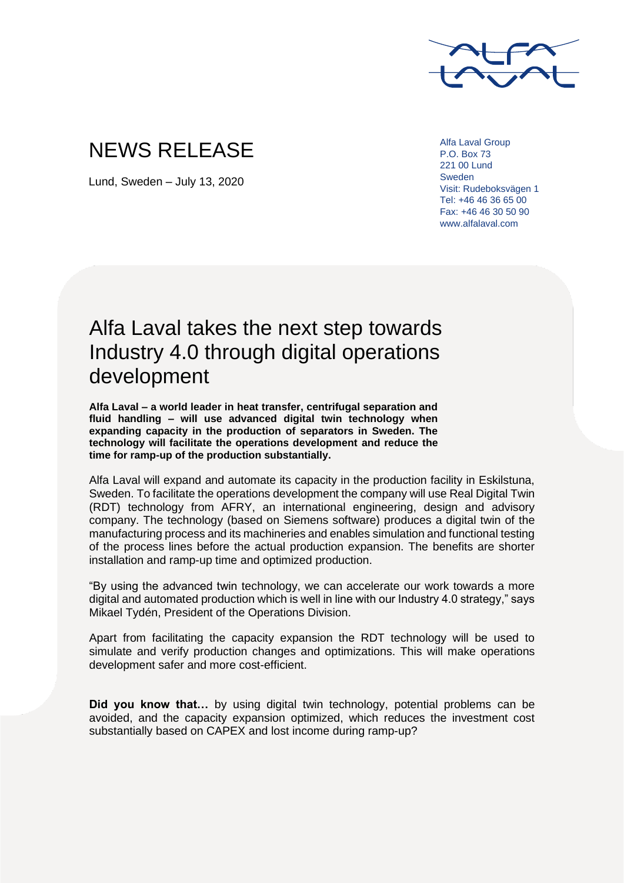

## NEWS RELEASE

Lund, Sweden – July 13, 2020

Alfa Laval Group P.O. Box 73 221 00 Lund Sweden Visit: Rudeboksvägen 1 Tel: +46 46 36 65 00 Fax: +46 46 30 50 90 www.alfalaval.com

## Alfa Laval takes the next step towards Industry 4.0 through digital operations development

**Alfa Laval – a world leader in heat transfer, centrifugal separation and fluid handling – will use advanced digital twin technology when expanding capacity in the production of separators in Sweden. The technology will facilitate the operations development and reduce the time for ramp-up of the production substantially.** 

Alfa Laval will expand and automate its capacity in the production facility in Eskilstuna, Sweden. To facilitate the operations development the company will use Real Digital Twin (RDT) technology from AFRY, an international engineering, design and advisory company. The technology (based on Siemens software) produces a digital twin of the manufacturing process and its machineries and enables simulation and functional testing of the process lines before the actual production expansion. The benefits are shorter installation and ramp-up time and optimized production.

"By using the advanced twin technology, we can accelerate our work towards a more digital and automated production which is well in line with our Industry 4.0 strategy," says Mikael Tydén, President of the Operations Division.

Apart from facilitating the capacity expansion the RDT technology will be used to simulate and verify production changes and optimizations. This will make operations development safer and more cost-efficient.

**Did you know that…** by using digital twin technology, potential problems can be avoided, and the capacity expansion optimized, which reduces the investment cost substantially based on CAPEX and lost income during ramp-up?